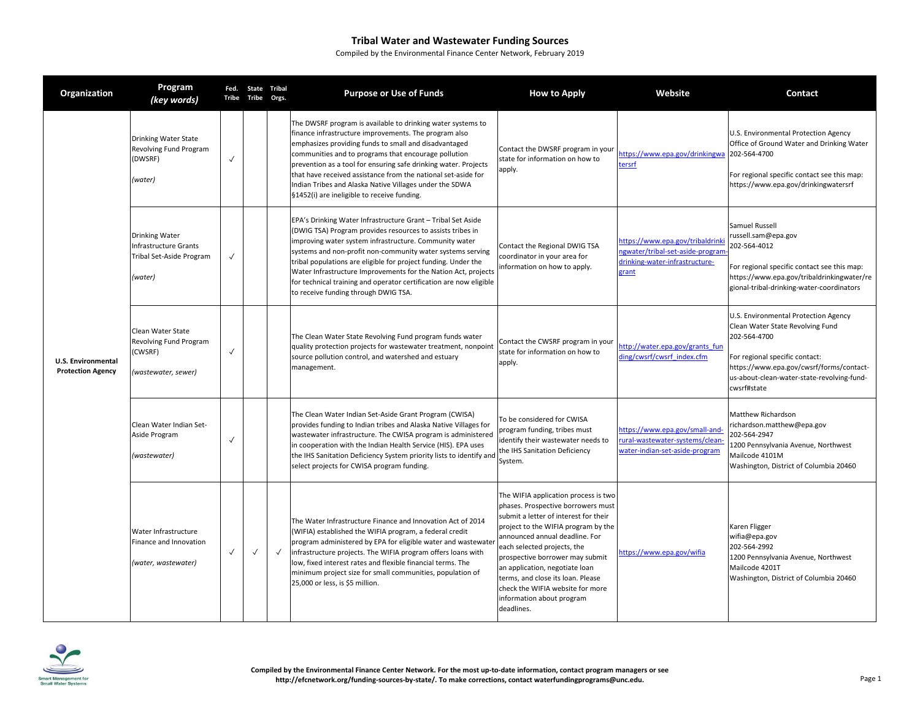| Organization                                          | Program<br>(key words)                                                                | Fed.<br><b>Tribe</b> | State Tribal<br>Tribe | Orgs.        | <b>Purpose or Use of Funds</b>                                                                                                                                                                                                                                                                                                                                                                                                                                                                       | <b>How to Apply</b>                                                                                                                                                                                                                                                                                                                                                                                                  | Website                                                                                                         | Contact                                                                                                                                                                                                                             |
|-------------------------------------------------------|---------------------------------------------------------------------------------------|----------------------|-----------------------|--------------|------------------------------------------------------------------------------------------------------------------------------------------------------------------------------------------------------------------------------------------------------------------------------------------------------------------------------------------------------------------------------------------------------------------------------------------------------------------------------------------------------|----------------------------------------------------------------------------------------------------------------------------------------------------------------------------------------------------------------------------------------------------------------------------------------------------------------------------------------------------------------------------------------------------------------------|-----------------------------------------------------------------------------------------------------------------|-------------------------------------------------------------------------------------------------------------------------------------------------------------------------------------------------------------------------------------|
| <b>U.S. Environmental</b><br><b>Protection Agency</b> | Drinking Water State<br>Revolving Fund Program<br>(DWSRF)<br>(water)                  | $\checkmark$         |                       |              | The DWSRF program is available to drinking water systems to<br>finance infrastructure improvements. The program also<br>emphasizes providing funds to small and disadvantaged<br>communities and to programs that encourage pollution<br>prevention as a tool for ensuring safe drinking water. Projects<br>that have received assistance from the national set-aside for<br>Indian Tribes and Alaska Native Villages under the SDWA<br>§1452(i) are ineligible to receive funding.                  | Contact the DWSRF program in your<br>state for information on how to<br>apply.                                                                                                                                                                                                                                                                                                                                       | nttps://www.epa.gov/drinkingwa<br>ersrf                                                                         | U.S. Environmental Protection Agency<br>Office of Ground Water and Drinking Water<br>202-564-4700<br>For regional specific contact see this map:<br>https://www.epa.gov/drinkingwatersrf                                            |
|                                                       | <b>Drinking Water</b><br>Infrastructure Grants<br>Tribal Set-Aside Program<br>(water) | $\checkmark$         |                       |              | EPA's Drinking Water Infrastructure Grant - Tribal Set Aside<br>(DWIG TSA) Program provides resources to assists tribes in<br>improving water system infrastructure. Community water<br>systems and non-profit non-community water systems serving<br>tribal populations are eligible for project funding. Under the<br>Water Infrastructure Improvements for the Nation Act, projects<br>for technical training and operator certification are now eligible<br>to receive funding through DWIG TSA. | Contact the Regional DWIG TSA<br>coordinator in your area for<br>information on how to apply.                                                                                                                                                                                                                                                                                                                        | nttps://www.epa.gov/tribaldrinki<br>ngwater/tribal-set-aside-progran<br>drinking-water-infrastructure-<br>grant | Samuel Russell<br>russell.sam@epa.gov<br>202-564-4012<br>For regional specific contact see this map:<br>https://www.epa.gov/tribaldrinkingwater/re<br>gional-tribal-drinking-water-coordinators                                     |
|                                                       | Clean Water State<br>Revolving Fund Program<br>(CWSRF)<br>(wastewater, sewer)         | $\checkmark$         |                       |              | The Clean Water State Revolving Fund program funds water<br>quality protection projects for wastewater treatment, nonpoint<br>source pollution control, and watershed and estuary<br>management.                                                                                                                                                                                                                                                                                                     | Contact the CWSRF program in your<br>state for information on how to<br>apply.                                                                                                                                                                                                                                                                                                                                       | http://water.epa.gov/grants fun<br>ding/cwsrf/cwsrf_index.cfm                                                   | U.S. Environmental Protection Agency<br>Clean Water State Revolving Fund<br>202-564-4700<br>For regional specific contact:<br>https://www.epa.gov/cwsrf/forms/contact-<br>us-about-clean-water-state-revolving-fund-<br>cwsrf#state |
|                                                       | Clean Water Indian Set-<br>Aside Program<br>(wastewater)                              | $\checkmark$         |                       |              | The Clean Water Indian Set-Aside Grant Program (CWISA)<br>provides funding to Indian tribes and Alaska Native Villages for<br>wastewater infrastructure. The CWISA program is administered<br>in cooperation with the Indian Health Service (HIS). EPA uses<br>the IHS Sanitation Deficiency System priority lists to identify and<br>select projects for CWISA program funding.                                                                                                                     | To be considered for CWISA<br>program funding, tribes must<br>identify their wastewater needs to<br>the IHS Sanitation Deficiency<br>System.                                                                                                                                                                                                                                                                         | https://www.epa.gov/small-and-<br>ural-wastewater-systems/clean-<br>water-indian-set-aside-program              | Matthew Richardson<br>richardson.matthew@epa.gov<br>202-564-2947<br>1200 Pennsylvania Avenue, Northwest<br>Mailcode 4101M<br>Washington, District of Columbia 20460                                                                 |
|                                                       | Water Infrastructure<br>Finance and Innovation<br>(water, wastewater)                 | $\checkmark$         | $\checkmark$          | $\checkmark$ | The Water Infrastructure Finance and Innovation Act of 2014<br>(WIFIA) established the WIFIA program, a federal credit<br>program administered by EPA for eligible water and wastewate<br>infrastructure projects. The WIFIA program offers loans with<br>low, fixed interest rates and flexible financial terms. The<br>minimum project size for small communities, population of<br>25,000 or less, is \$5 million.                                                                                | The WIFIA application process is two<br>phases. Prospective borrowers must<br>submit a letter of interest for their<br>project to the WIFIA program by the<br>announced annual deadline. For<br>each selected projects, the<br>prospective borrower may submit<br>an application, negotiate loan<br>terms, and close its loan. Please<br>check the WIFIA website for more<br>information about program<br>deadlines. | nttps://www.epa.gov/wifia                                                                                       | Karen Fligger<br>wifia@epa.gov<br>202-564-2992<br>1200 Pennsylvania Avenue, Northwest<br>Mailcode 4201T<br>Washington, District of Columbia 20460                                                                                   |

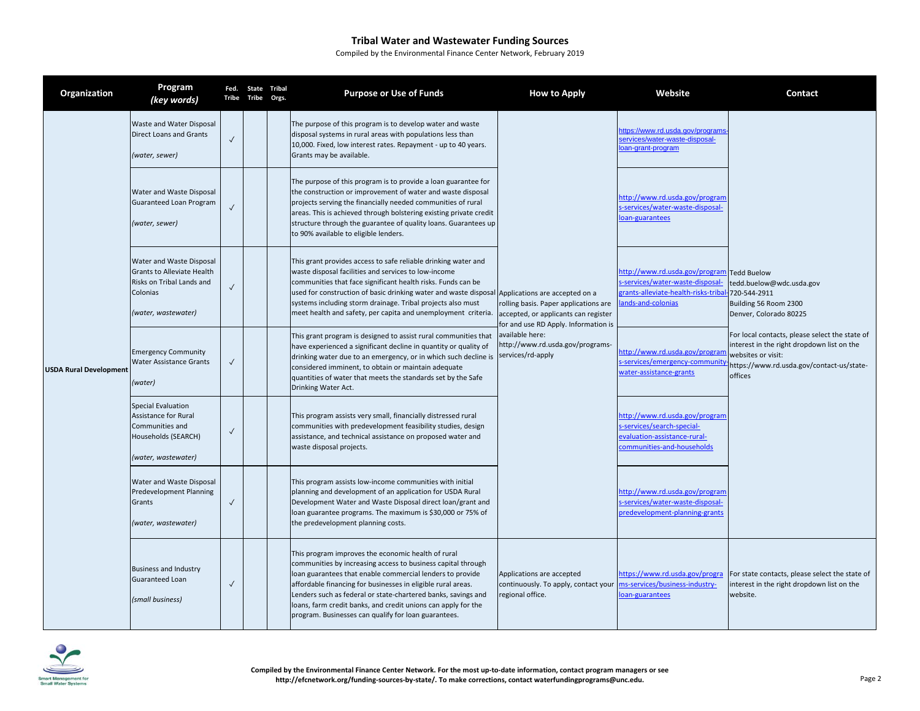| Organization                  | Program<br>(key words)                                                                                                 | Tribe        | Fed. State Tribal<br><b>Tribe</b> | Orgs. | <b>Purpose or Use of Funds</b>                                                                                                                                                                                                                                                                                                                                                                                                            | <b>How to Apply</b>                                                                                                                                                          | Website                                                                                                                      | Contact                                                                                                                                                                                                                                                                                         |
|-------------------------------|------------------------------------------------------------------------------------------------------------------------|--------------|-----------------------------------|-------|-------------------------------------------------------------------------------------------------------------------------------------------------------------------------------------------------------------------------------------------------------------------------------------------------------------------------------------------------------------------------------------------------------------------------------------------|------------------------------------------------------------------------------------------------------------------------------------------------------------------------------|------------------------------------------------------------------------------------------------------------------------------|-------------------------------------------------------------------------------------------------------------------------------------------------------------------------------------------------------------------------------------------------------------------------------------------------|
| <b>USDA Rural Development</b> | Waste and Water Disposal<br><b>Direct Loans and Grants</b><br>(water, sewer)                                           | $\checkmark$ |                                   |       | The purpose of this program is to develop water and waste<br>disposal systems in rural areas with populations less than<br>10,000. Fixed, low interest rates. Repayment - up to 40 years.<br>Grants may be available.                                                                                                                                                                                                                     | rolling basis. Paper applications are<br>accepted, or applicants can register<br>for and use RD Apply. Information is<br>available here:<br>http://www.rd.usda.gov/programs- | ttps://www.rd.usda.gov/programs<br>services/water-waste-disposal-<br>oan-grant-program                                       | <b>Tedd Buelow</b><br>tedd.buelow@wdc.usda.gov<br>720-544-2911<br>Building 56 Room 2300<br>Denver, Colorado 80225<br>For local contacts, please select the state of<br>interest in the right dropdown list on the<br>websites or visit:<br>https://www.rd.usda.gov/contact-us/state-<br>offices |
|                               | Water and Waste Disposal<br>Guaranteed Loan Program<br>(water, sewer)                                                  | $\checkmark$ |                                   |       | The purpose of this program is to provide a loan guarantee for<br>the construction or improvement of water and waste disposal<br>projects serving the financially needed communities of rural<br>areas. This is achieved through bolstering existing private credit<br>structure through the guarantee of quality loans. Guarantees up<br>to 90% available to eligible lenders.                                                           |                                                                                                                                                                              | http://www.rd.usda.gov/program<br>s-services/water-waste-disposal-<br>oan-guarantees                                         |                                                                                                                                                                                                                                                                                                 |
|                               | Water and Waste Disposal<br>Grants to Alleviate Health<br>Risks on Tribal Lands and<br>Colonias<br>(water, wastewater) | $\checkmark$ |                                   |       | This grant provides access to safe reliable drinking water and<br>waste disposal facilities and services to low-income<br>communities that face significant health risks. Funds can be<br>used for construction of basic drinking water and waste disposal Applications are accepted on a<br>systems including storm drainage. Tribal projects also must<br>meet health and safety, per capita and unemployment criteria.                 |                                                                                                                                                                              | http://www.rd.usda.gov/program<br>-services/water-waste-disposal-<br>rants-alleviate-health-risks-triba<br>ands-and-colonias |                                                                                                                                                                                                                                                                                                 |
|                               | <b>Emergency Community</b><br><b>Water Assistance Grants</b><br>(water)                                                | $\checkmark$ |                                   |       | This grant program is designed to assist rural communities that<br>have experienced a significant decline in quantity or quality of<br>drinking water due to an emergency, or in which such decline is services/rd-apply<br>considered imminent, to obtain or maintain adequate<br>quantities of water that meets the standards set by the Safe<br>Drinking Water Act.                                                                    |                                                                                                                                                                              | nttp://www.rd.usda.gov/progran<br>s-services/emergency-communit<br>water-assistance-grants                                   |                                                                                                                                                                                                                                                                                                 |
|                               | Special Evaluation<br><b>Assistance for Rural</b><br>Communities and<br>Households (SEARCH)<br>(water, wastewater)     | $\checkmark$ |                                   |       | This program assists very small, financially distressed rural<br>communities with predevelopment feasibility studies, design<br>assistance, and technical assistance on proposed water and<br>waste disposal projects.                                                                                                                                                                                                                    |                                                                                                                                                                              | http://www.rd.usda.gov/program<br>-services/search-special-<br>evaluation-assistance-rural-<br>communities-and-households    |                                                                                                                                                                                                                                                                                                 |
|                               | Water and Waste Disposal<br><b>Predevelopment Planning</b><br>Grants<br>(water, wastewater)                            | $\sqrt{ }$   |                                   |       | This program assists low-income communities with initial<br>planning and development of an application for USDA Rural<br>Development Water and Waste Disposal direct loan/grant and<br>loan guarantee programs. The maximum is \$30,000 or 75% of<br>the predevelopment planning costs.                                                                                                                                                   |                                                                                                                                                                              | http://www.rd.usda.gov/program<br>-services/water-waste-disposal-<br>oredevelopment-planning-grants                          |                                                                                                                                                                                                                                                                                                 |
|                               | <b>Business and Industry</b><br>Guaranteed Loan<br>(small business)                                                    | $\sqrt{ }$   |                                   |       | This program improves the economic health of rural<br>communities by increasing access to business capital through<br>loan guarantees that enable commercial lenders to provide<br>affordable financing for businesses in eligible rural areas.<br>Lenders such as federal or state-chartered banks, savings and<br>loans, farm credit banks, and credit unions can apply for the<br>program. Businesses can qualify for loan guarantees. | Applications are accepted<br>continuously. To apply, contact your<br>regional office.                                                                                        | https://www.rd.usda.gov/progra<br>ms-services/business-industry-<br>oan-guarantees                                           | For state contacts, please select the state of<br>interest in the right dropdown list on the<br>website.                                                                                                                                                                                        |

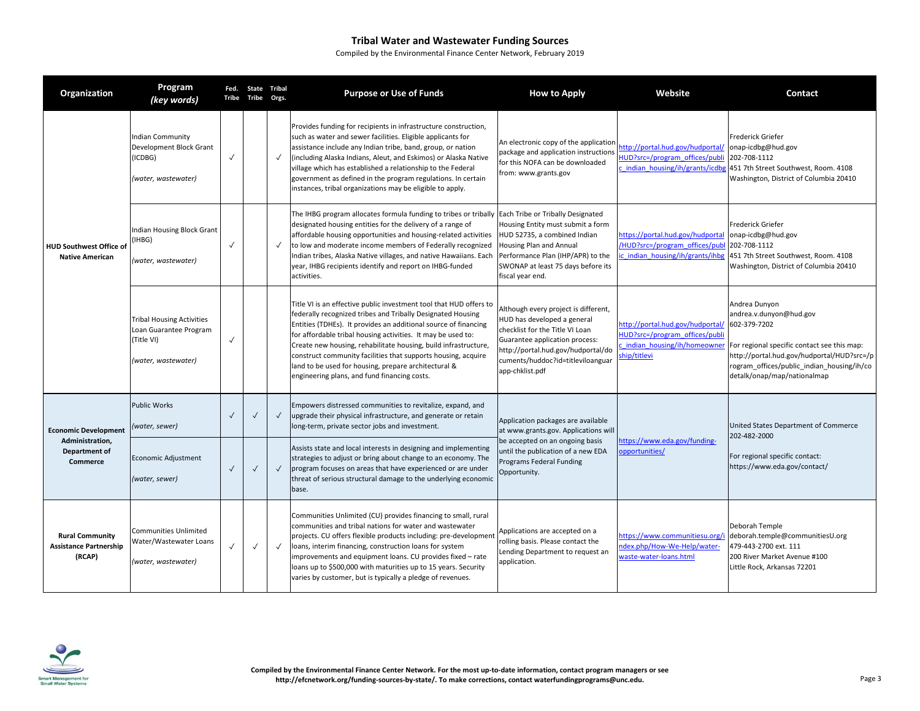| Organization                                                      | Program<br>(key words)                                                                          |              | Fed. State Tribal<br>Tribe Tribe | Orgs.        | <b>Purpose or Use of Funds</b>                                                                                                                                                                                                                                                                                                                                                                                                                                                                                   | <b>How to Apply</b>                                                                                                                                                                                                                    | Website                                                                                                         | Contact                                                                                                                                                                                                                            |
|-------------------------------------------------------------------|-------------------------------------------------------------------------------------------------|--------------|----------------------------------|--------------|------------------------------------------------------------------------------------------------------------------------------------------------------------------------------------------------------------------------------------------------------------------------------------------------------------------------------------------------------------------------------------------------------------------------------------------------------------------------------------------------------------------|----------------------------------------------------------------------------------------------------------------------------------------------------------------------------------------------------------------------------------------|-----------------------------------------------------------------------------------------------------------------|------------------------------------------------------------------------------------------------------------------------------------------------------------------------------------------------------------------------------------|
| <b>HUD Southwest Office of</b><br><b>Native American</b>          | <b>Indian Community</b><br>Development Block Grant<br>(ICDBG)<br>(water, wastewater)            | $\checkmark$ |                                  | $\checkmark$ | Provides funding for recipients in infrastructure construction,<br>such as water and sewer facilities. Eligible applicants for<br>assistance include any Indian tribe, band, group, or nation<br>(including Alaska Indians, Aleut, and Eskimos) or Alaska Native<br>village which has established a relationship to the Federal<br>government as defined in the program regulations. In certain<br>instances, tribal organizations may be eligible to apply.                                                     | An electronic copy of the application<br>package and application instructions<br>for this NOFA can be downloaded<br>from: www.grants.gov                                                                                               | http://portal.hud.gov/hudportal/<br>HUD?src=/program_offices/publi<br>indian housing/ih/grants/icdbg            | Frederick Griefer<br>onap-icdbg@hud.gov<br>202-708-1112<br>451 7th Street Southwest, Room. 4108<br>Washington, District of Columbia 20410                                                                                          |
|                                                                   | Indian Housing Block Grant<br>IHBG)<br>(water, wastewater)                                      | $\checkmark$ |                                  | $\checkmark$ | The IHBG program allocates formula funding to tribes or tribally Each Tribe or Tribally Designated<br>designated housing entities for the delivery of a range of<br>affordable housing opportunities and housing-related activities<br>to low and moderate income members of Federally recognized<br>Indian tribes, Alaska Native villages, and native Hawaiians. Each<br>year, IHBG recipients identify and report on IHBG-funded<br>activities.                                                                | Housing Entity must submit a form<br>HUD 52735, a combined Indian<br>Housing Plan and Annual<br>Performance Plan (IHP/APR) to the<br>SWONAP at least 75 days before its<br>fiscal year end.                                            | https://portal.hud.gov/hudportal<br>/HUD?src=/program offices/pub<br>c indian housing/ih/grants/ihbg            | Frederick Griefer<br>onap-icdbg@hud.gov<br>202-708-1112<br>451 7th Street Southwest, Room. 4108<br>Washington, District of Columbia 20410                                                                                          |
|                                                                   | <b>Tribal Housing Activities</b><br>Loan Guarantee Program<br>(Title VI)<br>(water, wastewater) | $\checkmark$ |                                  |              | Title VI is an effective public investment tool that HUD offers to<br>federally recognized tribes and Tribally Designated Housing<br>Entities (TDHEs). It provides an additional source of financing<br>for affordable tribal housing activities. It may be used to:<br>Create new housing, rehabilitate housing, build infrastructure,<br>construct community facilities that supports housing, acquire<br>land to be used for housing, prepare architectural &<br>engineering plans, and fund financing costs. | Although every project is different,<br>HUD has developed a general<br>checklist for the Title VI Loan<br>Guarantee application process:<br>http://portal.hud.gov/hudportal/do<br>cuments/huddoc?id=titleviloanguar<br>app-chklist.pdf | http://portal.hud.gov/hudportal/<br>HUD?src=/program_offices/publ<br>indian housing/ih/homeowner<br>hip/titlevi | Andrea Dunyon<br>andrea.v.dunyon@hud.gov<br>602-379-7202<br>For regional specific contact see this map:<br>http://portal.hud.gov/hudportal/HUD?src=/p<br>rogram_offices/public_indian_housing/ih/co<br>detalk/onap/map/nationalmap |
| <b>Economic Development</b>                                       | <b>Public Works</b><br>(water, sewer)                                                           | $\checkmark$ | $\checkmark$                     | $\checkmark$ | Empowers distressed communities to revitalize, expand, and<br>upgrade their physical infrastructure, and generate or retain<br>long-term, private sector jobs and investment.                                                                                                                                                                                                                                                                                                                                    | Application packages are available<br>at www.grants.gov. Applications will                                                                                                                                                             |                                                                                                                 | United States Department of Commerce<br>202-482-2000                                                                                                                                                                               |
| Administration,<br>Department of<br>Commerce                      | Economic Adjustment<br>(water, sewer)                                                           | $\checkmark$ | $\checkmark$                     | $\sqrt{ }$   | Assists state and local interests in designing and implementing<br>strategies to adjust or bring about change to an economy. The<br>program focuses on areas that have experienced or are under<br>threat of serious structural damage to the underlying economic<br>base.                                                                                                                                                                                                                                       | be accepted on an ongoing basis<br>until the publication of a new EDA<br>Programs Federal Funding<br>Opportunity.                                                                                                                      | https://www.eda.gov/funding-<br>opportunities/                                                                  | For regional specific contact:<br>https://www.eda.gov/contact/                                                                                                                                                                     |
| <b>Rural Community</b><br><b>Assistance Partnership</b><br>(RCAP) | <b>Communities Unlimited</b><br>Water/Wastewater Loans<br>(water, wastewater)                   | $\checkmark$ | $\checkmark$                     | $\checkmark$ | Communities Unlimited (CU) provides financing to small, rural<br>communities and tribal nations for water and wastewater<br>projects. CU offers flexible products including: pre-developmen<br>loans, interim financing, construction loans for system<br>improvements and equipment loans. CU provides fixed - rate<br>loans up to \$500,000 with maturities up to 15 years. Security<br>varies by customer, but is typically a pledge of revenues.                                                             | Applications are accepted on a<br>rolling basis. Please contact the<br>Lending Department to request an<br>application.                                                                                                                | https://www.communitiesu.org/i<br>ndex.php/How-We-Help/water-<br>waste-water-loans.html                         | Deborah Temple<br>deborah.temple@communitiesU.org<br>479-443-2700 ext. 111<br>200 River Market Avenue #100<br>Little Rock, Arkansas 72201                                                                                          |

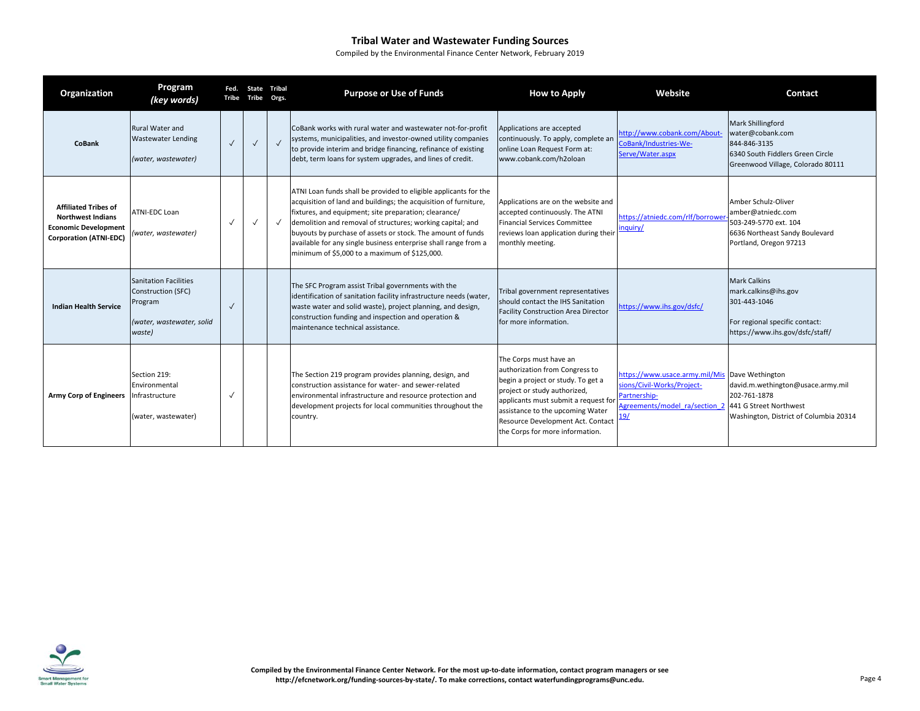| Organization                                                                                                            | Program<br>(key words)                                                                               | Fed.<br>Tribe | State<br>Tribe Orgs. | <b>Tribal</b> | <b>Purpose or Use of Funds</b>                                                                                                                                                                                                                                                                                                                                                                                                                 | <b>How to Apply</b>                                                                                                                                                                                                                                                                | Website                                                                                                             | Contact                                                                                                                                  |
|-------------------------------------------------------------------------------------------------------------------------|------------------------------------------------------------------------------------------------------|---------------|----------------------|---------------|------------------------------------------------------------------------------------------------------------------------------------------------------------------------------------------------------------------------------------------------------------------------------------------------------------------------------------------------------------------------------------------------------------------------------------------------|------------------------------------------------------------------------------------------------------------------------------------------------------------------------------------------------------------------------------------------------------------------------------------|---------------------------------------------------------------------------------------------------------------------|------------------------------------------------------------------------------------------------------------------------------------------|
| <b>CoBank</b>                                                                                                           | Rural Water and<br><b>Wastewater Lending</b><br>(water, wastewater)                                  | $\sqrt{ }$    | $\checkmark$         | $\checkmark$  | CoBank works with rural water and wastewater not-for-profit<br>systems, municipalities, and investor-owned utility companies<br>to provide interim and bridge financing, refinance of existing<br>debt, term loans for system upgrades, and lines of credit.                                                                                                                                                                                   | Applications are accepted<br>continuously. To apply, complete an<br>online Loan Request Form at:<br>www.cobank.com/h2oloan                                                                                                                                                         | http://www.cobank.com/About-<br>CoBank/Industries-We-<br>Serve/Water.aspx                                           | <b>Mark Shillingford</b><br>water@cobank.com<br>844-846-3135<br>6340 South Fiddlers Green Circle<br>Greenwood Village, Colorado 80111    |
| <b>Affiliated Tribes of</b><br><b>Northwest Indians</b><br><b>Economic Development</b><br><b>Corporation (ATNI-EDC)</b> | <b>ATNI-EDC Loan</b><br>(water, wastewater)                                                          | $\checkmark$  | $\checkmark$         |               | ATNI Loan funds shall be provided to eligible applicants for the<br>acquisition of land and buildings; the acquisition of furniture,<br>fixtures, and equipment; site preparation; clearance/<br>demolition and removal of structures; working capital; and<br>buyouts by purchase of assets or stock. The amount of funds<br>available for any single business enterprise shall range from a<br>minimum of \$5,000 to a maximum of \$125,000. | Applications are on the website and<br>accepted continuously. The ATNI<br><b>Financial Services Committee</b><br>reviews loan application during their<br>monthly meeting.                                                                                                         | https://atniedc.com/rlf/borrower<br>inquiry/                                                                        | Amber Schulz-Oliver<br>amber@atniedc.com<br>503-249-5770 ext. 104<br>6636 Northeast Sandy Boulevard<br>Portland, Oregon 97213            |
| <b>Indian Health Service</b>                                                                                            | <b>Sanitation Facilities</b><br>Construction (SFC)<br>Program<br>(water, wastewater, solid<br>waste) | $\checkmark$  |                      |               | The SFC Program assist Tribal governments with the<br>identification of sanitation facility infrastructure needs (water,<br>waste water and solid waste), project planning, and design,<br>construction funding and inspection and operation &<br>maintenance technical assistance.                                                                                                                                                            | Tribal government representatives<br>should contact the IHS Sanitation<br><b>Facility Construction Area Director</b><br>for more information.                                                                                                                                      | https://www.ihs.gov/dsfc/                                                                                           | <b>Mark Calkins</b><br>mark.calkins@ihs.gov<br>301-443-1046<br>For regional specific contact:<br>https://www.ihs.gov/dsfc/staff/         |
| Army Corp of Engineers Infrastructure                                                                                   | Section 219:<br>Environmental<br>(water, wastewater)                                                 | $\checkmark$  |                      |               | The Section 219 program provides planning, design, and<br>construction assistance for water- and sewer-related<br>environmental infrastructure and resource protection and<br>development projects for local communities throughout the<br>country.                                                                                                                                                                                            | The Corps must have an<br>authorization from Congress to<br>begin a project or study. To get a<br>project or study authorized,<br>applicants must submit a request for<br>assistance to the upcoming Water<br>Resource Development Act. Contact<br>the Corps for more information. | https://www.usace.army.mil/Mis<br>ions/Civil-Works/Project-<br>Partnership-<br>Agreements/model ra/section 2<br>19/ | Dave Wethington<br>david.m.wethington@usace.army.mil<br>202-761-1878<br>441 G Street Northwest<br>Washington, District of Columbia 20314 |

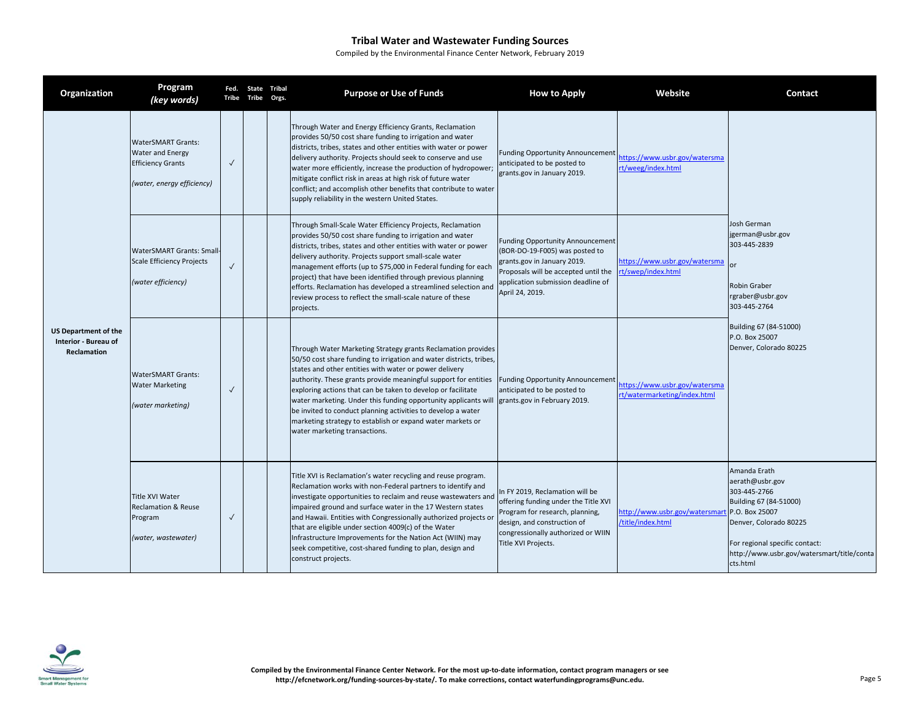| Organization                                                              | Program<br>(key words)                                                                                         | Fed.<br>Tribe | State Tribal<br>Tribe | Orgs. | <b>Purpose or Use of Funds</b>                                                                                                                                                                                                                                                                                                                                                                                                                                                                                                                                                                  | <b>How to Apply</b>                                                                                                                                                                                       | Website                                                       | Contact                                                                                                                                                                                                           |
|---------------------------------------------------------------------------|----------------------------------------------------------------------------------------------------------------|---------------|-----------------------|-------|-------------------------------------------------------------------------------------------------------------------------------------------------------------------------------------------------------------------------------------------------------------------------------------------------------------------------------------------------------------------------------------------------------------------------------------------------------------------------------------------------------------------------------------------------------------------------------------------------|-----------------------------------------------------------------------------------------------------------------------------------------------------------------------------------------------------------|---------------------------------------------------------------|-------------------------------------------------------------------------------------------------------------------------------------------------------------------------------------------------------------------|
| <b>US Department of the</b><br>Interior - Bureau of<br><b>Reclamation</b> | <b>WaterSMART Grants:</b><br><b>Water and Energy</b><br><b>Efficiency Grants</b><br>(water, energy efficiency) | $\checkmark$  |                       |       | Through Water and Energy Efficiency Grants, Reclamation<br>provides 50/50 cost share funding to irrigation and water<br>districts, tribes, states and other entities with water or power<br>delivery authority. Projects should seek to conserve and use<br>water more efficiently, increase the production of hydropower;<br>mitigate conflict risk in areas at high risk of future water<br>conflict; and accomplish other benefits that contribute to water<br>supply reliability in the western United States.                                                                              | <b>Funding Opportunity Announcement</b><br>anticipated to be posted to<br>grants.gov in January 2019.                                                                                                     | https://www.usbr.gov/watersma<br>rt/weeg/index.html           |                                                                                                                                                                                                                   |
|                                                                           | <b>WaterSMART Grants: Small-</b><br><b>Scale Efficiency Projects</b><br>(water efficiency)                     | $\checkmark$  |                       |       | Through Small-Scale Water Efficiency Projects, Reclamation<br>provides 50/50 cost share funding to irrigation and water<br>districts, tribes, states and other entities with water or power<br>delivery authority. Projects support small-scale water<br>management efforts (up to \$75,000 in Federal funding for each<br>project) that have been identified through previous planning<br>efforts. Reclamation has developed a streamlined selection and<br>review process to reflect the small-scale nature of these<br>projects.                                                             | <b>Funding Opportunity Announcement</b><br>(BOR-DO-19-F005) was posted to<br>grants.gov in January 2019.<br>Proposals will be accepted until the<br>application submission deadline of<br>April 24, 2019. | https://www.usbr.gov/watersma<br>t/swep/index.html            | Josh German<br>jgerman@usbr.gov<br>303-445-2839<br>or<br>Robin Graber<br>rgraber@usbr.gov<br>303-445-2764                                                                                                         |
|                                                                           | <b>WaterSMART Grants:</b><br><b>Water Marketing</b><br>(water marketing)                                       | $\checkmark$  |                       |       | Through Water Marketing Strategy grants Reclamation provides<br>50/50 cost share funding to irrigation and water districts, tribes,<br>states and other entities with water or power delivery<br>authority. These grants provide meaningful support for entities<br>exploring actions that can be taken to develop or facilitate<br>water marketing. Under this funding opportunity applicants will grants.gov in February 2019.<br>be invited to conduct planning activities to develop a water<br>marketing strategy to establish or expand water markets or<br>water marketing transactions. | <b>Funding Opportunity Announcement</b><br>anticipated to be posted to                                                                                                                                    | https://www.usbr.gov/watersma<br>rt/watermarketing/index.html | Building 67 (84-51000)<br>P.O. Box 25007<br>Denver, Colorado 80225                                                                                                                                                |
|                                                                           | Title XVI Water<br><b>Reclamation &amp; Reuse</b><br>Program<br>(water, wastewater)                            | $\checkmark$  |                       |       | Title XVI is Reclamation's water recycling and reuse program.<br>Reclamation works with non-Federal partners to identify and<br>investigate opportunities to reclaim and reuse wastewaters and<br>impaired ground and surface water in the 17 Western states<br>and Hawaii. Entities with Congressionally authorized projects or<br>that are eligible under section 4009(c) of the Water<br>Infrastructure Improvements for the Nation Act (WIIN) may<br>seek competitive, cost-shared funding to plan, design and<br>construct projects.                                                       | In FY 2019, Reclamation will be<br>offering funding under the Title XVI<br>Program for research, planning,<br>design, and construction of<br>congressionally authorized or WIIN<br>Title XVI Projects.    | http://www.usbr.gov/watersmart<br>title/index.html            | Amanda Erath<br>aerath@usbr.gov<br>303-445-2766<br>Building 67 (84-51000)<br>P.O. Box 25007<br>Denver, Colorado 80225<br>For regional specific contact:<br>http://www.usbr.gov/watersmart/title/conta<br>cts.html |